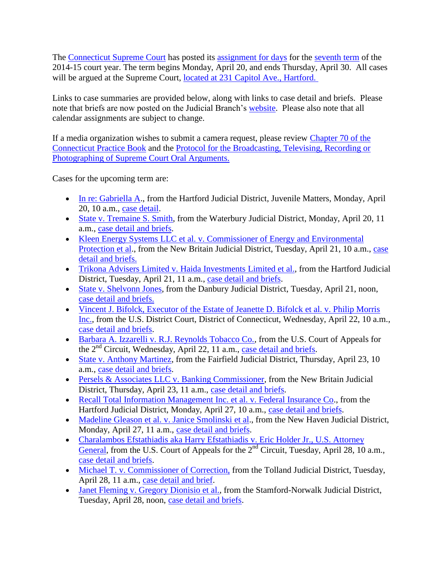The [Connecticut Supreme Court](http://www.jud.ct.gov/external/supapp/default.htm) has posted its [assignment for days](http://www.jud.ct.gov/external/supapp/sup_assign.htm) for the [seventh term](http://www.jud.ct.gov/external/supapp/CourtTermSup.htm) of the 2014-15 court year. The term begins Monday, April 20, and ends Thursday, April 30. All cases will be argued at the Supreme Court, located at 231 Capitol Ave., Hartford.

Links to case summaries are provided below, along with links to case detail and briefs. Please note that briefs are now posted on the Judicial Branch's [website.](http://www.jud.ct.gov/) Please also note that all calendar assignments are subject to change.

If a media organization wishes to submit a camera request, please review [Chapter 70 of the](http://www.jud.ct.gov/pb.htm)  [Connecticut Practice Book](http://www.jud.ct.gov/pb.htm) and the [Protocol for the Broadcasting, Televising, Recording or](http://www.jud.ct.gov/external/supapp/protocol_sup_oral_argu.htm)  [Photographing of Supreme Court Oral Arguments.](http://www.jud.ct.gov/external/supapp/protocol_sup_oral_argu.htm)

Cases for the upcoming term are:

- [In re: Gabriella A.](http://jud.ct.gov/external/supapp/Summaries/Docket/19435.htm), from the Hartford Judicial District, Juvenile Matters, Monday, April 20, 10 a.m., [case detail.](http://appellateinquiry.jud.ct.gov/CaseDetail.aspx?CRN=50834&Type=AppealNo)
- [State v. Tremaine S. Smith,](http://jud.ct.gov/external/supapp/Summaries/Docket/19314.htm) from the Waterbury Judicial District, Monday, April 20, 11 a.m., [case detail and](http://appellateinquiry.jud.ct.gov/CaseDetail.aspx?CRN=49401&Type=AppealNo) briefs.
- [Kleen Energy Systems LLC et al. v. Commissioner of Energy and Environmental](http://jud.ct.gov/external/supapp/Summaries/Docket/19362.htm)  [Protection et al.](http://jud.ct.gov/external/supapp/Summaries/Docket/19362.htm), from the New Britain Judicial District, Tuesday, April 21, 10 a.m., [case](http://appellateinquiry.jud.ct.gov/CaseDetail.aspx?CRN=50001&Type=AppealNo)  [detail and briefs.](http://appellateinquiry.jud.ct.gov/CaseDetail.aspx?CRN=50001&Type=AppealNo)
- [Trikona Advisers Limited v. Haida Investments](http://jud.ct.gov/external/supapp/Summaries/Docket/19439.htm) Limited et al., from the Hartford Judicial District, Tuesday, April 21, 11 a.m., case [detail and briefs.](http://appellateinquiry.jud.ct.gov/CaseDetail.aspx?CRN=50940&Type=AppealNo)
- [State v. Shelvonn Jones,](http://jud.ct.gov/external/supapp/Summaries/Docket/19097-19098.htm) from the Danbury Judicial District, Tuesday, April 21, noon, [case detail and briefs.](http://appellateinquiry.jud.ct.gov/CaseDetail.aspx?CRN=46556&Type=AppealNo)
- [Vincent J. Bifolck, Executor of the Estate of Jeanette D. Bifolck et al. v. Philip Morris](http://jud.ct.gov/external/supapp/Summaries/Docket/19310.htm)  [Inc.,](http://jud.ct.gov/external/supapp/Summaries/Docket/19310.htm) from the U.S. District Court, District of Connecticut, Wednesday, April 22, 10 a.m., [case detail and briefs.](http://appellateinquiry.jud.ct.gov/CaseDetail.aspx?CRN=49328&Type=AppealNo)
- [Barbara A. Izzarelli v. R.J. Reynolds Tobacco Co.,](http://jud.ct.gov/external/supapp/Summaries/Docket/19232.htm) from the U.S. Court of Appeals for the  $2<sup>nd</sup>$  Circuit, Wednesday, April 22, 11 a.m., [case detail and briefs.](http://appellateinquiry.jud.ct.gov/CaseDetail.aspx?CRN=48382&Type=AppealNo)
- [State v. Anthony Martinez,](http://jud.ct.gov/external/supapp/Summaries/Docket/19198.htm) from the Fairfield Judicial District, Thursday, April 23, 10 a.m., [case detail and briefs.](http://appellateinquiry.jud.ct.gov/CaseDetail.aspx?CRN=47983&Type=AppealNo)
- [Persels & Associates LLC v. Banking Commissioner,](http://jud.ct.gov/external/supapp/Summaries/Docket/19359.htm) from the New Britain Judicial District, Thursday, April 23, 11 a.m., [case detail and briefs.](http://appellateinquiry.jud.ct.gov/CaseDetail.aspx?CRN=49992&Type=AppealNo)
- [Recall Total Information Management Inc. et al. v. Federal Insurance Co.](http://jud.ct.gov/external/supapp/Summaries/Docket/19291.htm), from the Hartford Judicial District, Monday, April 27, 10 a.m., [case detail and briefs.](http://appellateinquiry.jud.ct.gov/CaseDetail.aspx?CRN=49050&Type=AppealNo)
- Madeline Gleason et [al. v. Janice Smolinski et al.](http://jud.ct.gov/external/supapp/Summaries/Docket/19342.htm), from the New Haven Judicial District, Monday, April 27, 11 a.m., [case detail and briefs.](http://appellateinquiry.jud.ct.gov/CaseDetail.aspx?CRN=49764&Type=AppealNo)
- [Charalambos Efstathiadis aka Harry Efstathiadis v. Eric Holder Jr., U.S. Attorney](http://jud.ct.gov/external/supapp/Summaries/Docket/19348.htm)  [General,](http://jud.ct.gov/external/supapp/Summaries/Docket/19348.htm) from the U.S. Court of Appeals for the  $2<sup>nd</sup>$  Circuit, Tuesday, April 28, 10 a.m., [case detail and briefs.](http://appellateinquiry.jud.ct.gov/CaseDetail.aspx?CRN=49830&Type=AppealNo)
- [Michael T. v. Commissioner of Correction,](http://jud.ct.gov/external/supapp/Summaries/Docket/19229.htm) from the Tolland Judicial District, Tuesday, April 28, 11 a.m., [case detail and brief.](http://appellateinquiry.jud.ct.gov/CaseDetail.aspx?CRN=48361&Type=AppealNo)
- [Janet Fleming v. Gregory Dionisio](http://jud.ct.gov/external/supapp/Summaries/Docket/19440.htm) et al., from the Stamford-Norwalk Judicial District, Tuesday, April 28, noon, [case detail and briefs.](http://appellateinquiry.jud.ct.gov/CaseDetail.aspx?CRN=50941&Type=AppealNo)